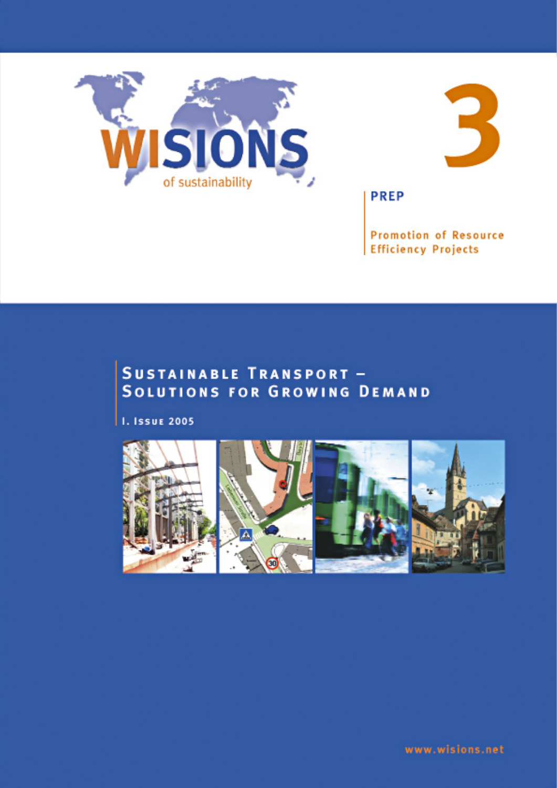



**PREP** 

**Promotion of Resource Efficiency Projects** 

# **SUSTAINABLE TRANSPORT -SOLUTIONS FOR GROWING DEMAND**

**I. ISSUE 2005** 

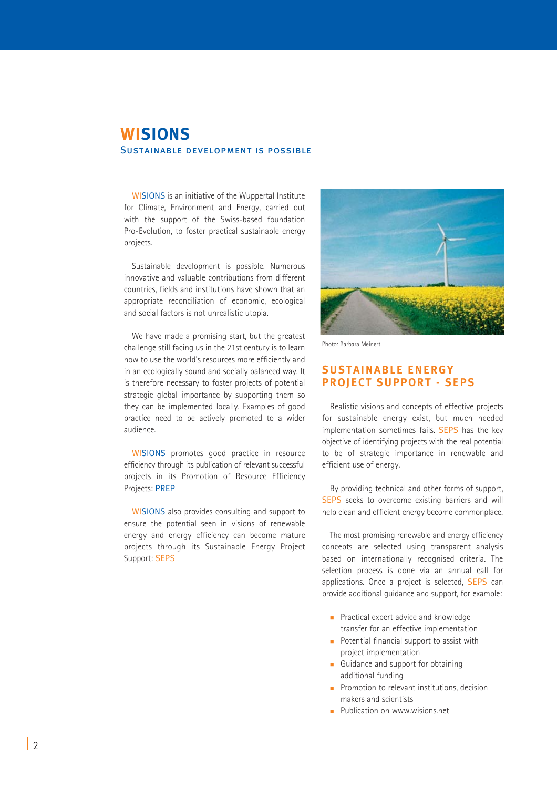# **WISIONS** Sustainable development is possible

WISIONS is an initiative of the Wuppertal Institute for Climate, Environment and Energy, carried out with the support of the Swiss-based foundation Pro-Evolution, to foster practical sustainable energy projects.

Sustainable development is possible. Numerous innovative and valuable contributions from different countries, fields and institutions have shown that an appropriate reconciliation of economic, ecological and social factors is not unrealistic utopia.

We have made a promising start, but the greatest challenge still facing us in the 21st century is to learn how to use the world's resources more efficiently and in an ecologically sound and socially balanced way. It is therefore necessary to foster projects of potential strategic global importance by supporting them so they can be implemented locally. Examples of good practice need to be actively promoted to a wider audience.

WISIONS promotes good practice in resource efficiency through its publication of relevant successful projects in its Promotion of Resource Efficiency Projects: PREP

WISIONS also provides consulting and support to ensure the potential seen in visions of renewable energy and energy efficiency can become mature projects through its Sustainable Energy Project Support: SEPS



Photo: Barbara Meinert

### **SUSTAINABLE ENERGY PROJECT SUPPORT - SEPS**

Realistic visions and concepts of effective projects for sustainable energy exist, but much needed implementation sometimes fails. SEPS has the key objective of identifying projects with the real potential to be of strategic importance in renewable and efficient use of energy.

By providing technical and other forms of support, SEPS seeks to overcome existing barriers and will help clean and efficient energy become commonplace.

The most promising renewable and energy efficiency concepts are selected using transparent analysis based on internationally recognised criteria. The selection process is done via an annual call for applications. Once a project is selected, SEPS can provide additional guidance and support, for example:

- **Practical expert advice and knowledge** transfer for an effective implementation
- Potential financial support to assist with project implementation
- Guidance and support for obtaining additional funding
- **Promotion to relevant institutions, decision** makers and scientists
- **Publication on www.wisions.net**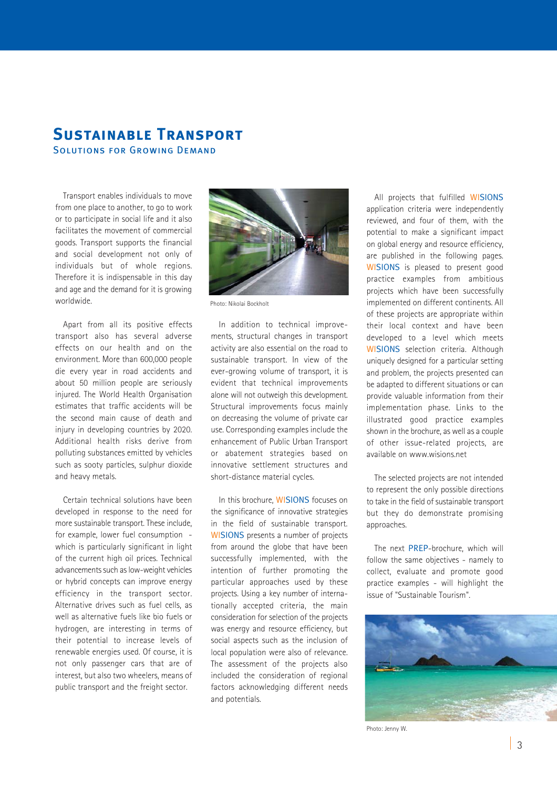## **Sustainable Transport** Solutions for Growing Demand

Transport enables individuals to move from one place to another, to go to work or to participate in social life and it also facilitates the movement of commercial goods. Transport supports the financial and social development not only of individuals but of whole regions. Therefore it is indispensable in this day and age and the demand for it is growing worldwide.

Apart from all its positive effects transport also has several adverse effects on our health and on the environment. More than 600,000 people die every year in road accidents and about 50 million people are seriously injured. The World Health Organisation estimates that traffic accidents will be the second main cause of death and injury in developing countries by 2020. Additional health risks derive from polluting substances emitted by vehicles such as sooty particles, sulphur dioxide and heavy metals.

Certain technical solutions have been developed in response to the need for more sustainable transport. These include, for example, lower fuel consumption which is particularly significant in light of the current high oil prices. Technical advancements such as low-weight vehicles or hybrid concepts can improve energy efficiency in the transport sector. Alternative drives such as fuel cells, as well as alternative fuels like bio fuels or hydrogen, are interesting in terms of their potential to increase levels of renewable energies used. Of course, it is not only passenger cars that are of interest, but also two wheelers, means of public transport and the freight sector.



Photo: Nikolai Bockholt

In addition to technical improvements, structural changes in transport activity are also essential on the road to sustainable transport. In view of the ever-growing volume of transport, it is evident that technical improvements alone will not outweigh this development. Structural improvements focus mainly on decreasing the volume of private car use. Corresponding examples include the enhancement of Public Urban Transport or abatement strategies based on innovative settlement structures and short-distance material cycles.

In this brochure, WISIONS focuses on the significance of innovative strategies in the field of sustainable transport. WISIONS presents a number of projects from around the globe that have been successfully implemented, with the intention of further promoting the particular approaches used by these projects. Using a key number of internationally accepted criteria, the main consideration for selection of the projects was energy and resource efficiency, but social aspects such as the inclusion of local population were also of relevance. The assessment of the projects also included the consideration of regional factors acknowledging different needs and potentials.

All projects that fulfilled WISIONS application criteria were independently reviewed, and four of them, with the potential to make a significant impact on global energy and resource efficiency, are published in the following pages. WISIONS is pleased to present good practice examples from ambitious projects which have been successfully implemented on different continents. All of these projects are appropriate within their local context and have been developed to a level which meets WISIONS selection criteria. Although uniquely designed for a particular setting and problem, the projects presented can be adapted to different situations or can provide valuable information from their implementation phase. Links to the illustrated good practice examples shown in the brochure, as well as a couple of other issue-related projects, are available on www.wisions.net

The selected projects are not intended to represent the only possible directions to take in the field of sustainable transport but they do demonstrate promising approaches.

The next PREP-brochure, which will follow the same objectives - namely to collect, evaluate and promote good practice examples - will highlight the issue of "Sustainable Tourism".



Photo: Jenny W.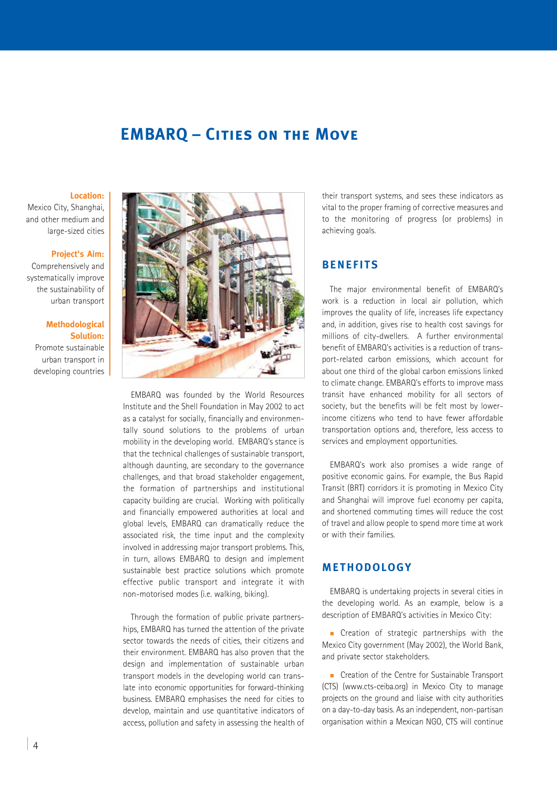# **EMBARQ – Cities on the Move**

#### **Location:**

Mexico City, Shanghai, and other medium and large-sized cities

#### **Project's Aim:**

Comprehensively and systematically improve the sustainability of urban transport

### **Methodological Solution:**

Promote sustainable urban transport in developing countries



EMBARQ was founded by the World Resources Institute and the Shell Foundation in May 2002 to act as a catalyst for socially, financially and environmentally sound solutions to the problems of urban mobility in the developing world. EMBARQ's stance is that the technical challenges of sustainable transport, although daunting, are secondary to the governance challenges, and that broad stakeholder engagement, the formation of partnerships and institutional capacity building are crucial. Working with politically and financially empowered authorities at local and global levels, EMBARQ can dramatically reduce the associated risk, the time input and the complexity involved in addressing major transport problems. This, in turn, allows EMBARQ to design and implement sustainable best practice solutions which promote effective public transport and integrate it with non-motorised modes (i.e. walking, biking).

Through the formation of public private partnerships, EMBARQ has turned the attention of the private sector towards the needs of cities, their citizens and their environment. EMBARQ has also proven that the design and implementation of sustainable urban transport models in the developing world can translate into economic opportunities for forward-thinking business. EMBARQ emphasises the need for cities to develop, maintain and use quantitative indicators of access, pollution and safety in assessing the health of their transport systems, and sees these indicators as vital to the proper framing of corrective measures and to the monitoring of progress (or problems) in achieving goals.

### **BENEFITS**

The major environmental benefit of EMBARQ's work is a reduction in local air pollution, which improves the quality of life, increases life expectancy and, in addition, gives rise to health cost savings for millions of city-dwellers. A further environmental benefit of EMBARQ's activities is a reduction of transport-related carbon emissions, which account for about one third of the global carbon emissions linked to climate change. EMBARQ's efforts to improve mass transit have enhanced mobility for all sectors of society, but the benefits will be felt most by lowerincome citizens who tend to have fewer affordable transportation options and, therefore, less access to services and employment opportunities.

EMBARQ's work also promises a wide range of positive economic gains. For example, the Bus Rapid Transit (BRT) corridors it is promoting in Mexico City and Shanghai will improve fuel economy per capita, and shortened commuting times will reduce the cost of travel and allow people to spend more time at work or with their families.

### **METHODOLOGY**

EMBARQ is undertaking projects in several cities in the developing world. As an example, below is a description of EMBARQ's activities in Mexico City:

**Creation of strategic partnerships with the** Mexico City government (May 2002), the World Bank, and private sector stakeholders.

Creation of the Centre for Sustainable Transport (CTS) (www.cts-ceiba.org) in Mexico City to manage projects on the ground and liaise with city authorities on a day-to-day basis. As an independent, non-partisan organisation within a Mexican NGO, CTS will continue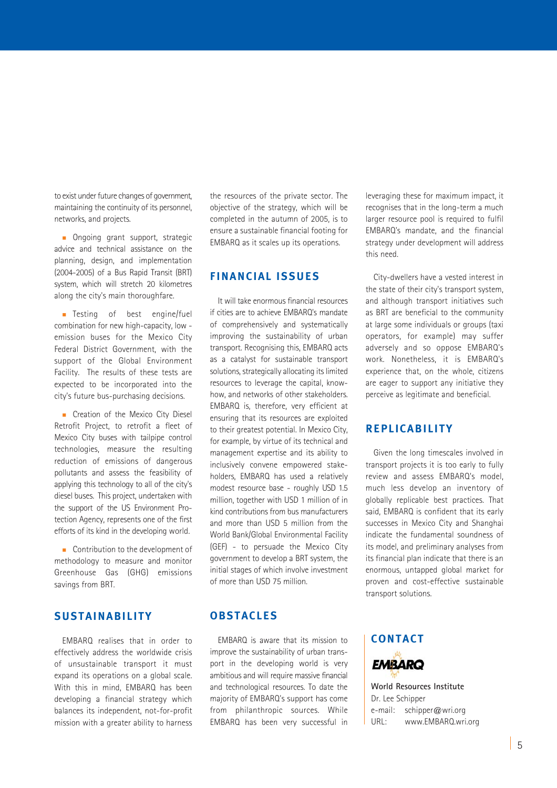to exist under future changes of government, maintaining the continuity of its personnel, networks, and projects.

**Ongoing grant support, strategic** advice and technical assistance on the planning, design, and implementation (2004-2005) of a Bus Rapid Transit (BRT) system, which will stretch 20 kilometres along the city's main thoroughfare.

**Testing of best engine/fuel** combination for new high-capacity, low emission buses for the Mexico City Federal District Government, with the support of the Global Environment Facility. The results of these tests are expected to be incorporated into the city's future bus-purchasing decisions.

Creation of the Mexico City Diesel Retrofit Project, to retrofit a fleet of Mexico City buses with tailpipe control technologies, measure the resulting reduction of emissions of dangerous pollutants and assess the feasibility of applying this technology to all of the city's diesel buses. This project, undertaken with the support of the US Environment Protection Agency, represents one of the first efforts of its kind in the developing world.

Contribution to the development of methodology to measure and monitor Greenhouse Gas (GHG) emissions savings from BRT.

## **SUSTAINABILITY**

EMBARQ realises that in order to effectively address the worldwide crisis of unsustainable transport it must expand its operations on a global scale. With this in mind, EMBARQ has been developing a financial strategy which balances its independent, not-for-profit mission with a greater ability to harness

the resources of the private sector. The objective of the strategy, which will be completed in the autumn of 2005, is to ensure a sustainable financial footing for EMBARQ as it scales up its operations.

## **FINANCIAL ISSUES**

It will take enormous financial resources if cities are to achieve EMBARQ's mandate of comprehensively and systematically improving the sustainability of urban transport. Recognising this, EMBARQ acts as a catalyst for sustainable transport solutions, strategically allocating its limited resources to leverage the capital, knowhow, and networks of other stakeholders. EMBARQ is, therefore, very efficient at ensuring that its resources are exploited to their greatest potential. In Mexico City, for example, by virtue of its technical and management expertise and its ability to inclusively convene empowered stakeholders, EMBARQ has used a relatively modest resource base - roughly USD 1.5 million, together with USD 1 million of in kind contributions from bus manufacturers and more than USD 5 million from the World Bank/Global Environmental Facility (GEF) - to persuade the Mexico City government to develop a BRT system, the initial stages of which involve investment of more than USD 75 million.

### **OBSTACLES**

EMBARQ is aware that its mission to improve the sustainability of urban transport in the developing world is very ambitious and will require massive financial and technological resources. To date the majority of EMBARQ's support has come from philanthropic sources. While EMBARQ has been very successful in leveraging these for maximum impact, it recognises that in the long-term a much larger resource pool is required to fulfil EMBARQ's mandate, and the financial strategy under development will address this need.

City-dwellers have a vested interest in the state of their city's transport system, and although transport initiatives such as BRT are beneficial to the community at large some individuals or groups (taxi operators, for example) may suffer adversely and so oppose EMBARQ's work. Nonetheless, it is EMBARQ's experience that, on the whole, citizens are eager to support any initiative they perceive as legitimate and beneficial.

### **REPLICABILITY**

Given the long timescales involved in transport projects it is too early to fully review and assess EMBARQ's model, much less develop an inventory of globally replicable best practices. That said, EMBARQ is confident that its early successes in Mexico City and Shanghai indicate the fundamental soundness of its model, and preliminary analyses from its financial plan indicate that there is an enormous, untapped global market for proven and cost-effective sustainable transport solutions.

**CONTACT EMBARO** 

**World Resources Institute** Dr. Lee Schipper e-mail: schipper@wri.org URL: www.EMBARQ.wri.org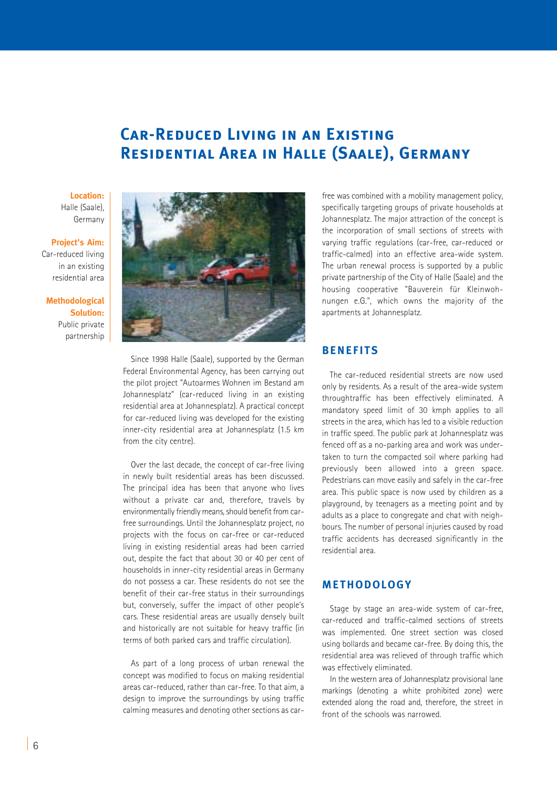# **Car-Reduced Living in an Existing Residential Area in Halle (Saale), Germany**

### **Location:** Halle (Saale), Germany

### **Project's Aim:**

Car-reduced living in an existing residential area

**Methodological Solution:**  Public private partnership



Since 1998 Halle (Saale), supported by the German Federal Environmental Agency, has been carrying out the pilot project "Autoarmes Wohnen im Bestand am Johannesplatz" (car-reduced living in an existing residential area at Johannesplatz). A practical concept for car-reduced living was developed for the existing inner-city residential area at Johannesplatz (1.5 km from the city centre).

Over the last decade, the concept of car-free living in newly built residential areas has been discussed. The principal idea has been that anyone who lives without a private car and, therefore, travels by environmentally friendly means, should benefit from carfree surroundings. Until the Johannesplatz project, no projects with the focus on car-free or car-reduced living in existing residential areas had been carried out, despite the fact that about 30 or 40 per cent of households in inner-city residential areas in Germany do not possess a car. These residents do not see the benefit of their car-free status in their surroundings but, conversely, suffer the impact of other people's cars. These residential areas are usually densely built and historically are not suitable for heavy traffic (in terms of both parked cars and traffic circulation).

As part of a long process of urban renewal the concept was modified to focus on making residential areas car-reduced, rather than car-free. To that aim, a design to improve the surroundings by using traffic calming measures and denoting other sections as carfree was combined with a mobility management policy, specifically targeting groups of private households at Johannesplatz. The major attraction of the concept is the incorporation of small sections of streets with varying traffic regulations (car-free, car-reduced or traffic-calmed) into an effective area-wide system. The urban renewal process is supported by a public private partnership of the City of Halle (Saale) and the housing cooperative "Bauverein für Kleinwohnungen e.G.", which owns the majority of the apartments at Johannesplatz.

### **BENEFITS**

The car-reduced residential streets are now used only by residents. As a result of the area-wide system throughtraffic has been effectively eliminated. A mandatory speed limit of 30 kmph applies to all streets in the area, which has led to a visible reduction in traffic speed. The public park at Johannesplatz was fenced off as a no-parking area and work was undertaken to turn the compacted soil where parking had previously been allowed into a green space. Pedestrians can move easily and safely in the car-free area. This public space is now used by children as a playground, by teenagers as a meeting point and by adults as a place to congregate and chat with neighbours. The number of personal injuries caused by road traffic accidents has decreased significantly in the residential area.

### **METHODOLOGY**

Stage by stage an area-wide system of car-free, car-reduced and traffic-calmed sections of streets was implemented. One street section was closed using bollards and became car-free. By doing this, the residential area was relieved of through traffic which was effectively eliminated.

In the western area of Johannesplatz provisional lane markings (denoting a white prohibited zone) were extended along the road and, therefore, the street in front of the schools was narrowed.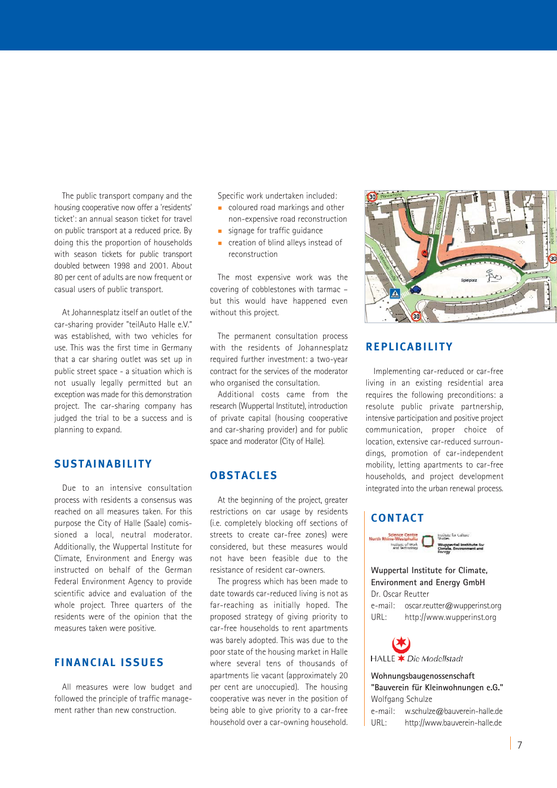The public transport company and the housing cooperative now offer a 'residents' ticket': an annual season ticket for travel on public transport at a reduced price. By doing this the proportion of households with season tickets for public transport doubled between 1998 and 2001. About 80 per cent of adults are now frequent or casual users of public transport.

At Johannesplatz itself an outlet of the car-sharing provider "teilAuto Halle e V" was established, with two vehicles for use. This was the first time in Germany that a car sharing outlet was set up in public street space - a situation which is not usually legally permitted but an exception was made for this demonstration project. The car-sharing company has judged the trial to be a success and is planning to expand.

## **SUSTAINABILITY**

Due to an intensive consultation process with residents a consensus was reached on all measures taken. For this purpose the City of Halle (Saale) comissioned a local, neutral moderator. Additionally, the Wuppertal Institute for Climate, Environment and Energy was instructed on behalf of the German Federal Environment Agency to provide scientific advice and evaluation of the whole project. Three quarters of the residents were of the opinion that the measures taken were positive.

## **FINANCIAL ISSUES**

All measures were low budget and followed the principle of traffic management rather than new construction.

Specific work undertaken included:

- coloured road markings and other non-expensive road reconstruction
- signage for traffic guidance
- creation of blind alleys instead of reconstruction

The most expensive work was the covering of cobblestones with tarmac – but this would have happened even without this project.

The permanent consultation process with the residents of Johannesplatz required further investment: a two-year contract for the services of the moderator who organised the consultation.

Additional costs came from the research (Wuppertal Institute), introduction of private capital (housing cooperative and car-sharing provider) and for public space and moderator (City of Halle).

### **OBSTACLES**

At the beginning of the project, greater restrictions on car usage by residents (i.e. completely blocking off sections of streets to create car-free zones) were considered, but these measures would not have been feasible due to the resistance of resident car-owners.

The progress which has been made to date towards car-reduced living is not as far-reaching as initially hoped. The proposed strategy of giving priority to car-free households to rent apartments was barely adopted. This was due to the poor state of the housing market in Halle where several tens of thousands of apartments lie vacant (approximately 20 per cent are unoccupied). The housing cooperative was never in the position of being able to give priority to a car-free household over a car-owning household.



## **REPLICABILITY**

Implementing car-reduced or car-free living in an existing residential area requires the following preconditions: a resolute public private partnership, intensive participation and positive project communication, proper choice of location, extensive car-reduced surroundings, promotion of car-independent mobility, letting apartments to car-free households, and project development integrated into the urban renewal process.

### **CONTACT**



### **Wuppertal Institute for Climate, Environment and Energy GmbH**

Dr. Oscar Reutter e-mail: oscar.reutter@wupperinst.org URL: http://www.wupperinst.org



**Wohnungsbaugenossenschaft "Bauverein für Kleinwohnungen e.G."** Wolfgang Schulze e-mail: w.schulze@bauverein-halle.de URL: http://www.bauverein-halle.de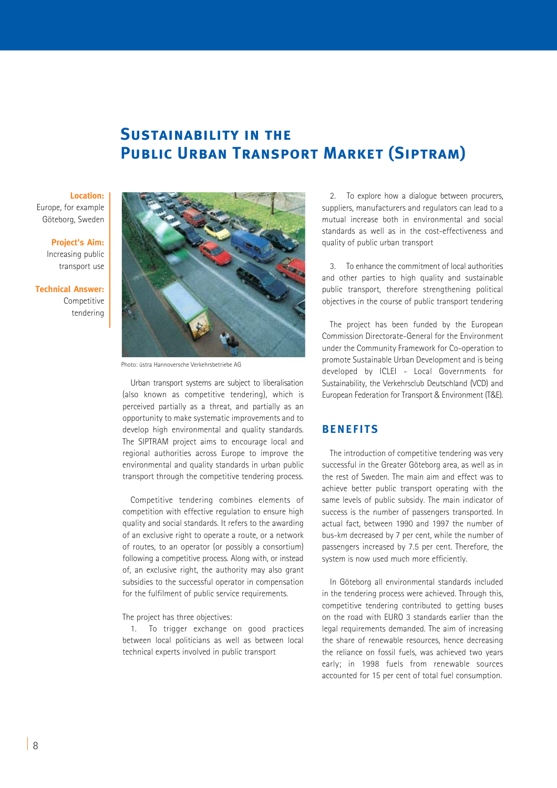# **Sustainability in the Public Urban Transport Market (Siptram)**

#### **Location:**

Europe, for example Göteborg, Sweden

#### **Project's Aim:**

Increasing public transport use

**Technical Answer:** Competitive tendering



Photo: üstra Hannoversche Verkehrsbetriebe AG

Urban transport systems are subject to liberalisation (also known as competitive tendering), which is perceived partially as a threat, and partially as an opportunity to make systematic improvements and to develop high environmental and quality standards. The SIPTRAM project aims to encourage local and regional authorities across Europe to improve the environmental and quality standards in urban public transport through the competitive tendering process.

Competitive tendering combines elements of competition with effective regulation to ensure high quality and social standards. It refers to the awarding of an exclusive right to operate a route, or a network of routes, to an operator (or possibly a consortium) following a competitive process. Along with, or instead of, an exclusive right, the authority may also grant subsidies to the successful operator in compensation for the fulfilment of public service requirements.

The project has three objectives:

1. To trigger exchange on good practices between local politicians as well as between local technical experts involved in public transport

2. To explore how a dialogue between procurers, suppliers, manufacturers and regulators can lead to a mutual increase both in environmental and social standards as well as in the cost-effectiveness and quality of public urban transport

3. To enhance the commitment of local authorities and other parties to high quality and sustainable public transport, therefore strengthening political objectives in the course of public transport tendering

The project has been funded by the European Commission Directorate-General for the Environment under the Community Framework for Co-operation to promote Sustainable Urban Development and is being developed by ICLEI - Local Governments for Sustainability, the Verkehrsclub Deutschland (VCD) and European Federation for Transport & Environment (T&E).

### **BENEFITS**

The introduction of competitive tendering was very successful in the Greater Göteborg area, as well as in the rest of Sweden. The main aim and effect was to achieve better public transport operating with the same levels of public subsidy. The main indicator of success is the number of passengers transported. In actual fact, between 1990 and 1997 the number of bus-km decreased by 7 per cent, while the number of passengers increased by 7.5 per cent. Therefore, the system is now used much more efficiently.

In Göteborg all environmental standards included in the tendering process were achieved. Through this, competitive tendering contributed to getting buses on the road with EURO 3 standards earlier than the legal requirements demanded. The aim of increasing the share of renewable resources, hence decreasing the reliance on fossil fuels, was achieved two years early; in 1998 fuels from renewable sources accounted for 15 per cent of total fuel consumption.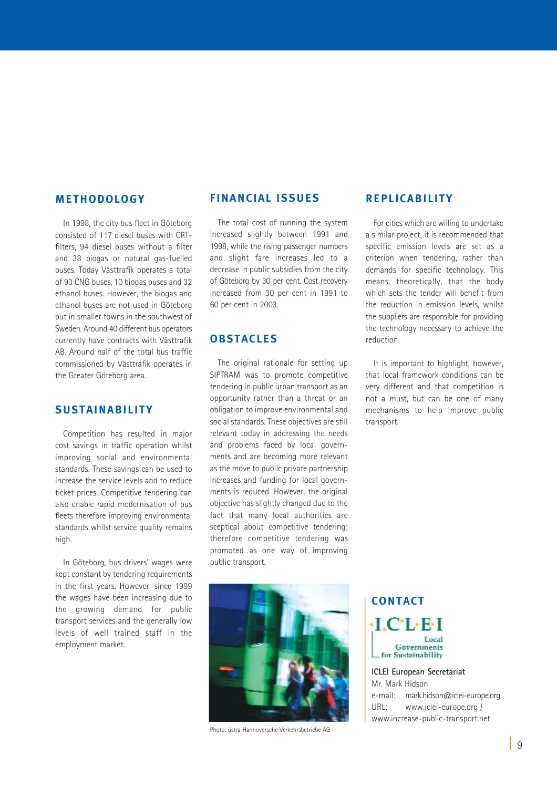### **METHODOLOGY**

In 1998, the city bus fleet in Göteborg consisted of 117 diesel buses with CRTfilters, 94 diesel buses without a filter and 38 biogas or natural gas-fuelled buses. Today Västtrafik operates a total of 93 CNG buses, 10 biogas buses and 32 ethanol buses. However, the biogas and ethanol buses are not used in Göteborg but in smaller towns in the southwest of Sweden. Around 40 different bus operators currently have contracts with Västtrafik AB. Around half of the total bus traffic commissioned by Västtrafik operates in the Greater Göteborg area.

### **SUSTAINABILITY**

Competition has resulted in major cost savings in traffic operation whilst improving social and environmental standards. These savings can be used to increase the service levels and to reduce ticket prices. Competitive tendering can also enable rapid modernisation of bus fleets therefore improving environmental standards whilst service quality remains high.

In Göteborg, bus drivers' wages were kept constant by tendering requirements in the first years. However, since 1999 the wages have been increasing due to the growing demand for public transport services and the generally low levels of well trained staff in the employment market.

### **FINANCIAL ISSUES**

The total cost of running the system increased slightly between 1991 and 1998, while the rising passenger numbers and slight fare increases led to a decrease in public subsidies from the city of Göteborg by 30 per cent. Cost recovery increased from 30 per cent in 1991 to 60 per cent in 2003.

## **OBSTACLES**

The original rationale for setting up SIPTRAM was to promote competitive tendering in public urban transport as an opportunity rather than a threat or an obligation to improve environmental and social standards. These objectives are still relevant today in addressing the needs and problems faced by local governments and are becoming more relevant as the move to public private partnership increases and funding for local governments is reduced. However, the original objective has slightly changed due to the fact that many local authorities are sceptical about competitive tendering; therefore competitive tendering was promoted as one way of improving public transport.



For cities which are willing to undertake a similar project, it is recommended that specific emission levels are set as a criterion when tendering, rather than demands for specific technology. This means, theoretically, that the body which sets the tender will benefit from the reduction in emission levels, whilst the suppliers are responsible for providing the technology necessary to achieve the reduction.

It is important to highlight, however, that local framework conditions can be very different and that competition is not a must, but can be one of many mechanisms to help improve public transport.



Photo: üstra Hannoversche Verkehrsbetriebe AG

**CONTACT**  $\cdot$ LC $\cdot$ L $\cdot$ E $\cdot$ L Local Governments for Sustainability

**ICLEI European Secretariat** Mr. Mark Hidson e-mail: mark.hidson@iclei-europe.org URL: www.iclei-europe.org / www.increase-public-transport.net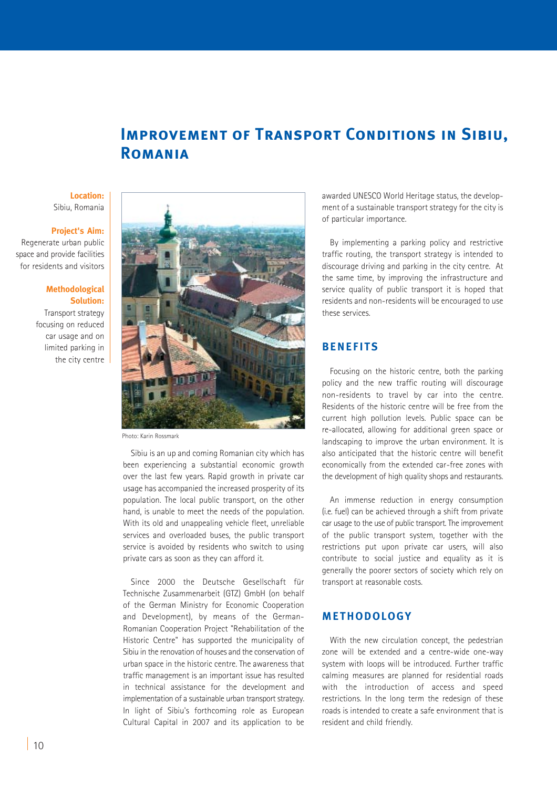# **IMPROVEMENT OF TRANSPORT CONDITIONS IN SIBIU, Romania**

### **Location:** Sibiu, Romania

### **Project's Aim:**

Regenerate urban public space and provide facilities for residents and visitors

#### **Methodological Solution:**

Transport strategy focusing on reduced car usage and on limited parking in the city centre



Photo: Karin Rossmark

Sibiu is an up and coming Romanian city which has been experiencing a substantial economic growth over the last few years. Rapid growth in private car usage has accompanied the increased prosperity of its population. The local public transport, on the other hand, is unable to meet the needs of the population. With its old and unappealing vehicle fleet, unreliable services and overloaded buses, the public transport service is avoided by residents who switch to using private cars as soon as they can afford it.

Since 2000 the Deutsche Gesellschaft für Technische Zusammenarbeit (GTZ) GmbH (on behalf of the German Ministry for Economic Cooperation and Development), by means of the German-Romanian Cooperation Project "Rehabilitation of the Historic Centre" has supported the municipality of Sibiu in the renovation of houses and the conservation of urban space in the historic centre. The awareness that traffic management is an important issue has resulted in technical assistance for the development and implementation of a sustainable urban transport strategy. In light of Sibiu's forthcoming role as European Cultural Capital in 2007 and its application to be

awarded UNESCO World Heritage status, the development of a sustainable transport strategy for the city is of particular importance.

By implementing a parking policy and restrictive traffic routing, the transport strategy is intended to discourage driving and parking in the city centre. At the same time, by improving the infrastructure and service quality of public transport it is hoped that residents and non-residents will be encouraged to use these services.

## **BENEFITS**

Focusing on the historic centre, both the parking policy and the new traffic routing will discourage non-residents to travel by car into the centre. Residents of the historic centre will be free from the current high pollution levels. Public space can be re-allocated, allowing for additional green space or landscaping to improve the urban environment. It is also anticipated that the historic centre will benefit economically from the extended car-free zones with the development of high quality shops and restaurants.

An immense reduction in energy consumption (i.e. fuel) can be achieved through a shift from private car usage to the use of public transport. The improvement of the public transport system, together with the restrictions put upon private car users, will also contribute to social justice and equality as it is generally the poorer sectors of society which rely on transport at reasonable costs.

### **METHODOLOGY**

With the new circulation concept, the pedestrian zone will be extended and a centre-wide one-way system with loops will be introduced. Further traffic calming measures are planned for residential roads with the introduction of access and speed restrictions. In the long term the redesign of these roads is intended to create a safe environment that is resident and child friendly.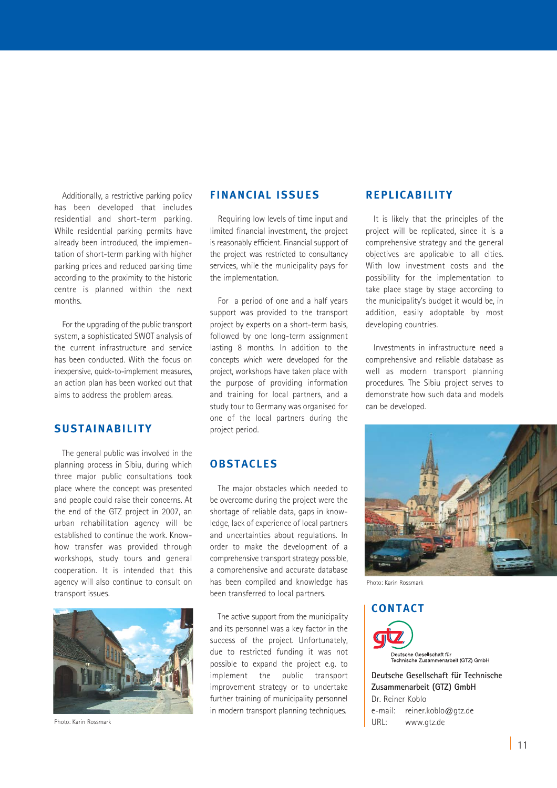Additionally, a restrictive parking policy has been developed that includes residential and short-term parking. While residential parking permits have already been introduced, the implementation of short-term parking with higher parking prices and reduced parking time according to the proximity to the historic centre is planned within the next months.

For the upgrading of the public transport system, a sophisticated SWOT analysis of the current infrastructure and service has been conducted. With the focus on inexpensive, quick-to-implement measures an action plan has been worked out that aims to address the problem areas.

### **SUSTAINABILITY**

The general public was involved in the planning process in Sibiu, during which three major public consultations took place where the concept was presented and people could raise their concerns. At the end of the GTZ project in 2007, an urban rehabilitation agency will be established to continue the work. Knowhow transfer was provided through workshops, study tours and general cooperation. It is intended that this agency will also continue to consult on transport issues.



Photo: Karin Rossmark

### **FINANCIAL ISSUES**

Requiring low levels of time input and limited financial investment, the project is reasonably efficient. Financial support of the project was restricted to consultancy services, while the municipality pays for the implementation.

For a period of one and a half years support was provided to the transport project by experts on a short-term basis, followed by one long-term assignment lasting 8 months. In addition to the concepts which were developed for the project, workshops have taken place with the purpose of providing information and training for local partners, and a study tour to Germany was organised for one of the local partners during the project period.

### **OBSTACLES**

The major obstacles which needed to be overcome during the project were the shortage of reliable data, gaps in knowledge, lack of experience of local partners and uncertainties about regulations. In order to make the development of a comprehensive transport strategy possible, a comprehensive and accurate database has been compiled and knowledge has been transferred to local partners.

The active support from the municipality and its personnel was a key factor in the success of the project. Unfortunately, due to restricted funding it was not possible to expand the project e.g. to implement the public transport improvement strategy or to undertake further training of municipality personnel in modern transport planning techniques.

### **REPLICABILITY**

It is likely that the principles of the project will be replicated, since it is a comprehensive strategy and the general objectives are applicable to all cities. With low investment costs and the possibility for the implementation to take place stage by stage according to the municipality's budget it would be, in addition, easily adoptable by most developing countries.

Investments in infrastructure need a comprehensive and reliable database as well as modern transport planning procedures. The Sibiu project serves to demonstrate how such data and models can be developed.



Photo: Karin Rossmark